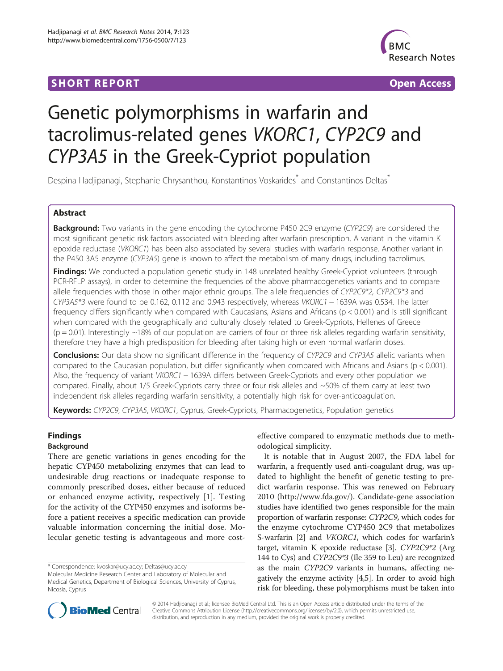# **SHORT REPORT SHORT CONSUMING THE SHORT CONSUMING THE SHORT CONSUMING THE SHORT CONSUMING THE SHORT CONSUMING THE SHORT CONSUMING THE SHORT CONSUMING THE SHORT CONSUMING THE SHORT CONSUMING THE SHORT CONSUMING THE SHORT**



# Genetic polymorphisms in warfarin and tacrolimus-related genes VKORC1, CYP2C9 and CYP3A5 in the Greek-Cypriot population

Despina Hadjipanagi, Stephanie Chrysanthou, Konstantinos Voskarides<sup>\*</sup> and Constantinos Deltas<sup>\*</sup>

# Abstract

Background: Two variants in the gene encoding the cytochrome P450 2C9 enzyme (CYP2C9) are considered the most significant genetic risk factors associated with bleeding after warfarin prescription. A variant in the vitamin K epoxide reductase (VKORC1) has been also associated by several studies with warfarin response. Another variant in the P450 3A5 enzyme (CYP3A5) gene is known to affect the metabolism of many drugs, including tacrolimus.

Findings: We conducted a population genetic study in 148 unrelated healthy Greek-Cypriot volunteers (through PCR-RFLP assays), in order to determine the frequencies of the above pharmacogenetics variants and to compare allele frequencies with those in other major ethnic groups. The allele frequencies of CYP2C9\*2, CYP2C9\*3 and CYP3A5\*3 were found to be 0.162, 0.112 and 0.943 respectively, whereas VKORC1 − 1639A was 0.534. The latter frequency differs significantly when compared with Caucasians, Asians and Africans (p < 0.001) and is still significant when compared with the geographically and culturally closely related to Greek-Cypriots, Hellenes of Greece  $(p = 0.01)$ . Interestingly ~18% of our population are carriers of four or three risk alleles regarding warfarin sensitivity, therefore they have a high predisposition for bleeding after taking high or even normal warfarin doses.

**Conclusions:** Our data show no significant difference in the frequency of CYP2C9 and CYP3A5 allelic variants when compared to the Caucasian population, but differ significantly when compared with Africans and Asians ( $p < 0.001$ ). Also, the frequency of variant VKORC1 − 1639A differs between Greek-Cypriots and every other population we compared. Finally, about 1/5 Greek-Cypriots carry three or four risk alleles and ~50% of them carry at least two independent risk alleles regarding warfarin sensitivity, a potentially high risk for over-anticoagulation.

Keywords: CYP2C9, CYP3A5, VKORC1, Cyprus, Greek-Cypriots, Pharmacogenetics, Population genetics

# Findings

# Background

There are genetic variations in genes encoding for the hepatic CYP450 metabolizing enzymes that can lead to undesirable drug reactions or inadequate response to commonly prescribed doses, either because of reduced or enhanced enzyme activity, respectively [\[1](#page-3-0)]. Testing for the activity of the CYP450 enzymes and isoforms before a patient receives a specific medication can provide valuable information concerning the initial dose. Molecular genetic testing is advantageous and more cost-

\* Correspondence: [kvoskar@ucy.ac.cy;](mailto:kvoskar@ucy.ac.cy) [Deltas@ucy.ac.cy](mailto:Deltas@ucy.ac.cy)

effective compared to enzymatic methods due to methodological simplicity.

It is notable that in August 2007, the FDA label for warfarin, a frequently used anti-coagulant drug, was updated to highlight the benefit of genetic testing to predict warfarin response. This was renewed on February 2010 ([http://www.fda.gov/\)](http://www.fda.gov/). Candidate-gene association studies have identified two genes responsible for the main proportion of warfarin response: CYP2C9, which codes for the enzyme cytochrome CYP450 2C9 that metabolizes S-warfarin [\[2](#page-3-0)] and VKORC1, which codes for warfarin's target, vitamin K epoxide reductase [[3\]](#page-3-0). CYP2C9\*2 (Arg 144 to Cys) and CYP2C9\*3 (Ile 359 to Leu) are recognized as the main CYP2C9 variants in humans, affecting negatively the enzyme activity [\[4,5\]](#page-3-0). In order to avoid high risk for bleeding, these polymorphisms must be taken into



© 2014 Hadjipanagi et al.; licensee BioMed Central Ltd. This is an Open Access article distributed under the terms of the Creative Commons Attribution License (<http://creativecommons.org/licenses/by/2.0>), which permits unrestricted use, distribution, and reproduction in any medium, provided the original work is properly credited.

Molecular Medicine Research Center and Laboratory of Molecular and Medical Genetics, Department of Biological Sciences, University of Cyprus, Nicosia, Cyprus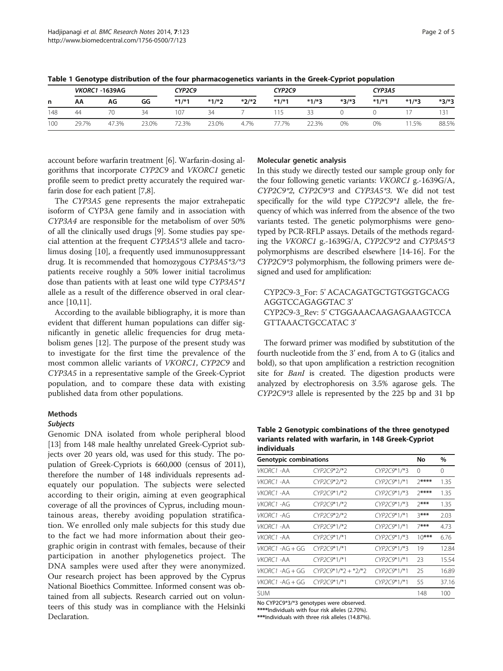| n   | <b>VKORC1 -1639AG</b> |       |       | CYP2C9  |         |         | CYP2C9  |         |         | CYP3A5  |         |         |
|-----|-----------------------|-------|-------|---------|---------|---------|---------|---------|---------|---------|---------|---------|
|     | АΑ                    | AG    | GG    | $*1/*1$ | $*1/*2$ | $*2/*2$ | $*1/*1$ | $*1/*3$ | $*3/*3$ | $*1/*1$ | $*1/*3$ | $*3/*3$ |
| 148 | 44                    |       | 34    | 107     | 34      |         |         | 33      |         |         |         |         |
| 100 | 29.7%                 | 47.3% | 23.0% | 72.3%   | 23.0%   | 4.7%    | 7.7%    | 22.3%   | 0%      | 0%      | 1.5%    | 88.5%   |

<span id="page-1-0"></span>Table 1 Genotype distribution of the four pharmacogenetics variants in the Greek-Cypriot population

account before warfarin treatment [\[6\]](#page-3-0). Warfarin-dosing algorithms that incorporate CYP2C9 and VKORC1 genetic profile seem to predict pretty accurately the required warfarin dose for each patient [[7,8\]](#page-3-0).

The CYP3A5 gene represents the major extrahepatic isoform of CYP3A gene family and in association with CYP3A4 are responsible for the metabolism of over 50% of all the clinically used drugs [\[9\]](#page-3-0). Some studies pay special attention at the frequent CYP3A5\*3 allele and tacrolimus dosing [\[10](#page-3-0)], a frequently used immunosuppressant drug. It is recommended that homozygous CYP3A5\*3/\*3 patients receive roughly a 50% lower initial tacrolimus dose than patients with at least one wild type CYP3A5\*1 allele as a result of the difference observed in oral clearance [\[10,11](#page-3-0)].

According to the available bibliography, it is more than evident that different human populations can differ significantly in genetic allelic frequencies for drug metabolism genes [\[12](#page-3-0)]. The purpose of the present study was to investigate for the first time the prevalence of the most common allelic variants of VKORC1, CYP2C9 and CYP3A5 in a representative sample of the Greek-Cypriot population, and to compare these data with existing published data from other populations.

## Methods

## Subjects

Genomic DNA isolated from whole peripheral blood [[13](#page-3-0)] from 148 male healthy unrelated Greek-Cypriot subjects over 20 years old, was used for this study. The population of Greek-Cypriots is 660,000 (census of 2011), therefore the number of 148 individuals represents adequately our population. The subjects were selected according to their origin, aiming at even geographical coverage of all the provinces of Cyprus, including mountainous areas, thereby avoiding population stratification. We enrolled only male subjects for this study due to the fact we had more information about their geographic origin in contrast with females, because of their participation in another phylogenetics project. The DNA samples were used after they were anonymized. Our research project has been approved by the Cyprus National Bioethics Committee. Informed consent was obtained from all subjects. Research carried out on volunteers of this study was in compliance with the Helsinki Declaration.

#### Molecular genetic analysis

In this study we directly tested our sample group only for the four following genetic variants: VKORC1 g.-1639G/A, CYP2C9\*2, CYP2C9\*3 and CYP3A5\*3. We did not test specifically for the wild type CYP2C9\*1 allele, the frequency of which was inferred from the absence of the two variants tested. The genetic polymorphisms were genotyped by PCR-RFLP assays. Details of the methods regarding the VKORC1 g.-1639G/A, CYP2C9\*2 and CYP3A5\*3 polymorphisms are described elsewhere [[14-16\]](#page-3-0). For the CYP2C9\*3 polymorphism, the following primers were designed and used for amplification:

# CYP2C9-3\_For: 5' ACACAGATGCTGTGGTGCACG AGGTCCAGAGGTAC 3' CYP2C9-3\_Rev: 5' CTGGAAACAAGAGAAAGTCCA GTTAAACTGCCATAC 3'

The forward primer was modified by substitution of the fourth nucleotide from the 3' end, from A to G (italics and bold), so that upon amplification a restriction recognition site for *BanI* is created. The digestion products were analyzed by electrophoresis on 3.5% agarose gels. The CYP2C9\*3 allele is represented by the 225 bp and 31 bp

Table 2 Genotypic combinations of the three genotyped variants related with warfarin, in 148 Greek-Cypriot individuals

| Genotypic combinations  | No                     | $\%$          |         |          |
|-------------------------|------------------------|---------------|---------|----------|
| <b>VKORC1 -AA</b>       | CYP2C9*2/*2            | CYP2C9*1/*3   | 0       | $\Omega$ |
| VKORC1 -AA              | CYP2C9*2/*2            | CYP2C9*1/*1   | 7****   | 1.35     |
| <i>VKORC1 -</i> AA      | CYP2C9*1/*2            | CYP2C9*1/*3   | $7***$  | 1.35     |
| VKORC1-AG               | $CYP2C9*1/*2$          | CYP2C9*1/*3   | $7***$  | 1.35     |
| <i>VKORC1 -</i> AG      | CYP2C9*2/*2            | $CYP2C9*1/*1$ | $3***$  | 2.03     |
| VKORC1-AA               | $CYP2C9*1/*2$          | $CYP2C9*1/*1$ | $7***$  | 4.73     |
| VKORC1 -AA              | CYP2C9*1/*1            | $CYP2C9*1/*3$ | $10***$ | 6.76     |
| VKORC1-AG+GG            | CYP2C9*1/*1            | CYP2C9*1/*3   | 19      | 12.84    |
| <i>VKORC1 -</i> AA      | CYP2C9*1/*1            | CYP2C9*1/*1   | 23      | 15.54    |
| VKORC1-AG+GG            | $CYP2CY^*1/*2 + *2/*2$ | $CYP2C9*1/*1$ | 25      | 16.89    |
| <i>VKORC1 -</i> AG + GG | CYP2C9*1/*1            | CYP2C9*1/*1   | 55      | 37.16    |
| sum.                    |                        |               | 148     | 100      |

No CYP2C9\*3/\*3 genotypes were observed. \*\*\*\*Individuals with four risk alleles (2.70%).

\*\*\*Individuals with three risk alleles (14.87%).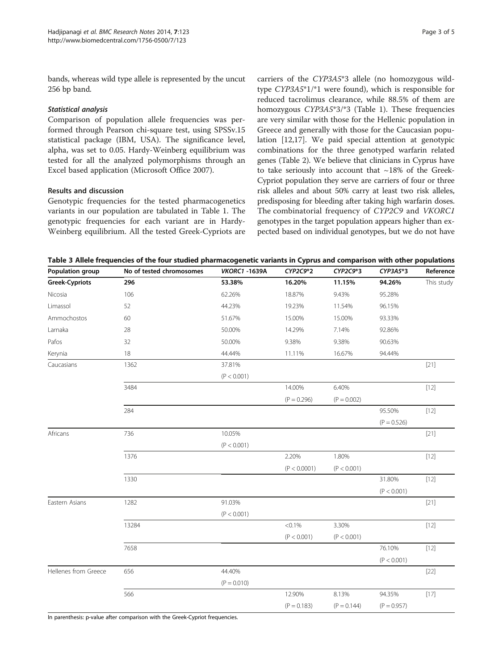<span id="page-2-0"></span>bands, whereas wild type allele is represented by the uncut 256 bp band.

## Statistical analysis

Comparison of population allele frequencies was performed through Pearson chi-square test, using SPSSv.15 statistical package (IBM, USA). The significance level, alpha, was set to 0.05. Hardy-Weinberg equilibrium was tested for all the analyzed polymorphisms through an Excel based application (Microsoft Office 2007).

## Results and discussion

Genotypic frequencies for the tested pharmacogenetics variants in our population are tabulated in Table [1.](#page-1-0) The genotypic frequencies for each variant are in Hardy-Weinberg equilibrium. All the tested Greek-Cypriots are carriers of the CYP3A5\*3 allele (no homozygous wildtype CYP3A5\*1/\*1 were found), which is responsible for reduced tacrolimus clearance, while 88.5% of them are homozygous CYP3A5\*3/\*3 (Table [1\)](#page-1-0). These frequencies are very similar with those for the Hellenic population in Greece and generally with those for the Caucasian population [\[12,17](#page-3-0)]. We paid special attention at genotypic combinations for the three genotyped warfarin related genes (Table [2\)](#page-1-0). We believe that clinicians in Cyprus have to take seriously into account that  $\sim$ 18% of the Greek-Cypriot population they serve are carriers of four or three risk alleles and about 50% carry at least two risk alleles, predisposing for bleeding after taking high warfarin doses. The combinatorial frequency of CYP2C9 and VKORC1 genotypes in the target population appears higher than expected based on individual genotypes, but we do not have

Table 3 Allele frequencies of the four studied pharmacogenetic variants in Cyprus and comparison with other populations

| Population group      | No of tested chromosomes | <b>VKORC1 -1639A</b> | CYP2C9*2      | CYP2C9*3      | CYP3A5*3      | Reference  |
|-----------------------|--------------------------|----------------------|---------------|---------------|---------------|------------|
| <b>Greek-Cypriots</b> | 296                      | 53.38%               | 16.20%        | 11.15%        | 94.26%        | This study |
| Nicosia               | 106                      | 62.26%               | 18.87%        | 9.43%         | 95.28%        |            |
| Limassol              | 52                       | 44.23%               | 19.23%        | 11.54%        | 96.15%        |            |
| Ammochostos           | 60                       | 51.67%               | 15.00%        | 15.00%        | 93.33%        |            |
| Larnaka               | 28                       | 50.00%               | 14.29%        | 7.14%         | 92.86%        |            |
| Pafos                 | 32                       | 50.00%               | 9.38%         | 9.38%         | 90.63%        |            |
| Kerynia               | 18                       | 44.44%               | 11.11%        | 16.67%        | 94.44%        |            |
| Caucasians            | 1362                     | 37.81%               |               |               |               | $[21]$     |
|                       |                          | (P < 0.001)          |               |               |               |            |
|                       | 3484                     |                      | 14.00%        | 6.40%         |               | $[12]$     |
|                       |                          |                      | $(P = 0.296)$ | $(P = 0.002)$ |               |            |
|                       | 284                      |                      |               |               | 95.50%        | $[12]$     |
|                       |                          |                      |               |               | $(P = 0.526)$ |            |
| Africans              | 736                      | 10.05%               |               |               |               | $[21]$     |
|                       |                          | (P < 0.001)          |               |               |               |            |
|                       | 1376                     |                      | 2.20%         | 1.80%         |               | $[12]$     |
|                       |                          |                      | (P < 0.0001)  | (P < 0.001)   |               |            |
|                       | 1330                     |                      |               |               | 31.80%        | $[12]$     |
|                       |                          |                      |               |               | (P < 0.001)   |            |
| Eastern Asians        | 1282                     | 91.03%               |               |               |               | $[21]$     |
|                       |                          | (P < 0.001)          |               |               |               |            |
|                       | 13284                    |                      | $< 0.1\%$     | 3.30%         |               | $[12]$     |
|                       |                          |                      | (P < 0.001)   | (P < 0.001)   |               |            |
|                       | 7658                     |                      |               |               | 76.10%        | $[12]$     |
|                       |                          |                      |               |               | (P < 0.001)   |            |
| Hellenes from Greece  | 656                      | 44.40%               |               |               |               | $[22]$     |
|                       |                          | $(P = 0.010)$        |               |               |               |            |
|                       | 566                      |                      | 12.90%        | 8.13%         | 94.35%        | $[17]$     |
|                       |                          |                      | $(P = 0.183)$ | $(P = 0.144)$ | $(P = 0.957)$ |            |

In parenthesis: p-value after comparison with the Greek-Cypriot frequencies.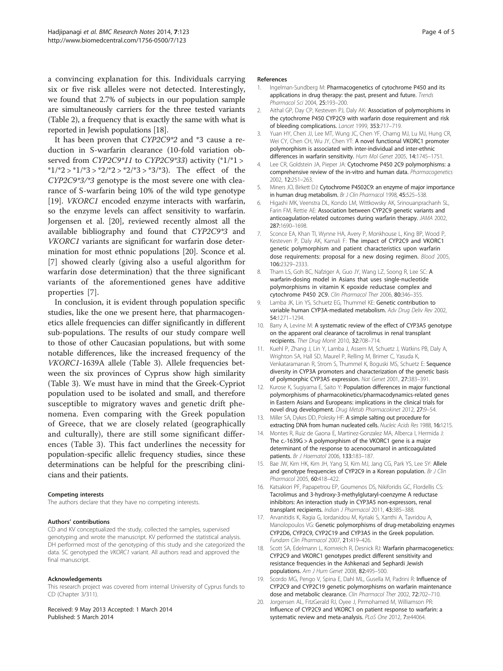<span id="page-3-0"></span>a convincing explanation for this. Individuals carrying six or five risk alleles were not detected. Interestingly, we found that 2.7% of subjects in our population sample are simultaneously carriers for the three tested variants (Table [2](#page-1-0)), a frequency that is exactly the same with what is reported in Jewish populations [18].

It has been proven that CYP2C9\*2 and \*3 cause a reduction in S-warfarin clearance (10-fold variation observed from CYP2C9\*11 to CYP2C9\*33) activity (\*1/\*1 > \* $1/*2 > *1/*3 > *2/*2 > *2/*3 > *3/*3$ . The effect of the CYP2C9\*3/\*3 genotype is the most severe one with clearance of S-warfarin being 10% of the wild type genotype [19]. *VKORC1* encoded enzyme interacts with warfarin, so the enzyme levels can affect sensitivity to warfarin. Jorgensen et al. [20], reviewed recently almost all the available bibliography and found that CYP2C9\*3 and VKORC1 variants are significant for warfarin dose determination for most ethnic populations [20]. Sconce et al. [7] showed clearly (giving also a useful algorithm for warfarin dose determination) that the three significant variants of the aforementioned genes have additive properties [7].

In conclusion, it is evident through population specific studies, like the one we present here, that pharmacogenetics allele frequencies can differ significantly in different sub-populations. The results of our study compare well to those of other Caucasian populations, but with some notable differences, like the increased frequency of the VKORC1-1639A allele (Table [3](#page-2-0)). Allele frequencies between the six provinces of Cyprus show high similarity (Table [3](#page-2-0)). We must have in mind that the Greek-Cypriot population used to be isolated and small, and therefore susceptible to migratory waves and genetic drift phenomena. Even comparing with the Greek population of Greece, that we are closely related (geographically and culturally), there are still some significant differences (Table [3](#page-2-0)). This fact underlines the necessity for population-specific allelic frequency studies, since these determinations can be helpful for the prescribing clinicians and their patients.

#### Competing interests

The authors declare that they have no competing interests.

#### Authors' contributions

CD and KV conceptualized the study, collected the samples, supervised genotyping and wrote the manuscript. KV performed the statistical analysis. DH performed most of the genotyping of this study and she categorized the data. SC genotyped the VKORC1 variant. All authors read and approved the final manuscript.

#### Acknowledgements

This research project was covered from internal University of Cyprus funds to CD (Chapter 3/311).

Received: 9 May 2013 Accepted: 1 March 2014 Published: 5 March 2014

#### References

- Ingelman-Sundberg M: Pharmacogenetics of cytochrome P450 and its applications in drug therapy: the past, present and future. Trends Pharmacol Sci 2004, 25:193–200.
- 2. Aithal GP, Day CP, Kesteven PJ, Daly AK: Association of polymorphisms in the cytochrome P450 CYP2C9 with warfarin dose requirement and risk of bleeding complications. Lancet 1999, 353:717–719.
- 3. Yuan HY, Chen JJ, Lee MT, Wung JC, Chen YF, Charng MJ, Lu MJ, Hung CR, Wei CY, Chen CH, Wu JY, Chen YT: A novel functional VKORC1 promoter polymorphism is associated with inter-individual and inter-ethnic differences in warfarin sensitivity. Hum Mol Genet 2005, 14:1745-1751
- 4. Lee CR, Goldstein JA, Pieper JA: Cytochrome P450 2C9 polymorphisms: a comprehensive review of the in-vitro and human data. Pharmacogenetics 2002, 12:251–263.
- Miners JO, Birkett DJ: Cytochrome P4502C9: an enzyme of major importance in human drug metabolism. Br J Clin Pharmacol 1998, 45:525-538.
- 6. Higashi MK, Veenstra DL, Kondo LM, Wittkowsky AK, Srinouanprachanh SL, Farin FM, Rettie AE: Association between CYP2C9 genetic variants and anticoagulation-related outcomes during warfarin therapy. JAMA 2002, 287:1690–1698.
- 7. Sconce EA, Khan TI, Wynne HA, Avery P, Monkhouse L, King BP, Wood P, Kesteven P, Daly AK, Kamali F: The impact of CYP2C9 and VKORC1 genetic polymorphism and patient characteristics upon warfarin dose requirements: proposal for a new dosing regimen. Blood 2005, 106:2329–2333.
- 8. Tham LS, Goh BC, Nafziger A, Guo JY, Wang LZ, Soong R, Lee SC: A warfarin-dosing model in Asians that uses single-nucleotide polymorphisms in vitamin K epoxide reductase complex and cytochrome P450 2C9. Clin Pharmacol Ther 2006, 80:346–355.
- 9. Lamba JK, Lin YS, Schuetz EG, Thummel KE: Genetic contribution to variable human CYP3A-mediated metabolism. Adv Drug Deliv Rev 2002, 54:1271–1294.
- 10. Barry A, Levine M: A systematic review of the effect of CYP3A5 genotype on the apparent oral clearance of tacrolimus in renal transplant recipients. Ther Drug Monit 2010, 32:708–714.
- 11. Kuehl P, Zhang J, Lin Y, Lamba J, Assem M, Schuetz J, Watkins PB, Daly A, Wrighton SA, Hall SD, Maurel P, Relling M, Brimer C, Yasuda K, Venkataramanan R, Strom S, Thummel K, Boguski MS, Schuetz E: Sequence diversity in CYP3A promoters and characterization of the genetic basis of polymorphic CYP3A5 expression. Nat Genet 2001, 27:383–391.
- 12. Kurose K, Sugiyama E, Saito Y: Population differences in major functional polymorphisms of pharmacokinetics/pharmacodynamics-related genes in Eastern Asians and Europeans: implications in the clinical trials for novel drug development. Drug Metab Pharmacokinet 2012, 27:9–54.
- 13. Miller SA, Dykes DD, Polesky HF: A simple salting out procedure for extracting DNA from human nucleated cells. Nucleic Acids Res 1988, 16:1215.
- 14. Montes R, Ruiz de Gaona E, Martinez-Gonzalez MA, Alberca I, Hermida J: The c.-1639G > A polymorphism of the VKORC1 gene is a major determinant of the response to acenocoumarol in anticoagulated patients. Br J Haematol 2006, 133:183–187.
- 15. Bae JW, Kim HK, Kim JH, Yang SI, Kim MJ, Jang CG, Park YS, Lee SY: Allele and genotype frequencies of CYP2C9 in a Korean population. Br J Clin Pharmacol 2005, 60:418–422.
- 16. Katsakiori PF, Papapetrou EP, Goumenos DS, Nikiforidis GC, Flordellis CS: Tacrolimus and 3-hydroxy-3-methylglutaryl-coenzyme A reductase inhibitors: An interaction study in CYP3A5 non-expressors, renal transplant recipients. Indian J Pharmacol 2011, 43:385–388.
- 17. Arvanitidis K, Ragia G, Iordanidou M, Kyriaki S, Xanthi A, Tavridou A, Manolopoulos VG: Genetic polymorphisms of drug-metabolizing enzymes CYP2D6, CYP2C9, CYP2C19 and CYP3A5 in the Greek population. Fundam Clin Pharmacol 2007, 21:419–426.
- 18. Scott SA, Edelmann L, Kornreich R, Desnick RJ: Warfarin pharmacogenetics: CYP2C9 and VKORC1 genotypes predict different sensitivity and resistance frequencies in the Ashkenazi and Sephardi Jewish populations. Am J Hum Genet 2008, 82:495–500.
- 19. Scordo MG, Pengo V, Spina E, Dahl ML, Gusella M, Padrini R: Influence of CYP2C9 and CYP2C19 genetic polymorphisms on warfarin maintenance dose and metabolic clearance. Clin Pharmacol Ther 2002, 72:702–710.
- 20. Jorgensen AL, FitzGerald RJ, Oyee J, Pirmohamed M, Williamson PR: Influence of CYP2C9 and VKORC1 on patient response to warfarin: a systematic review and meta-analysis. PLoS One 2012, 7:e44064.